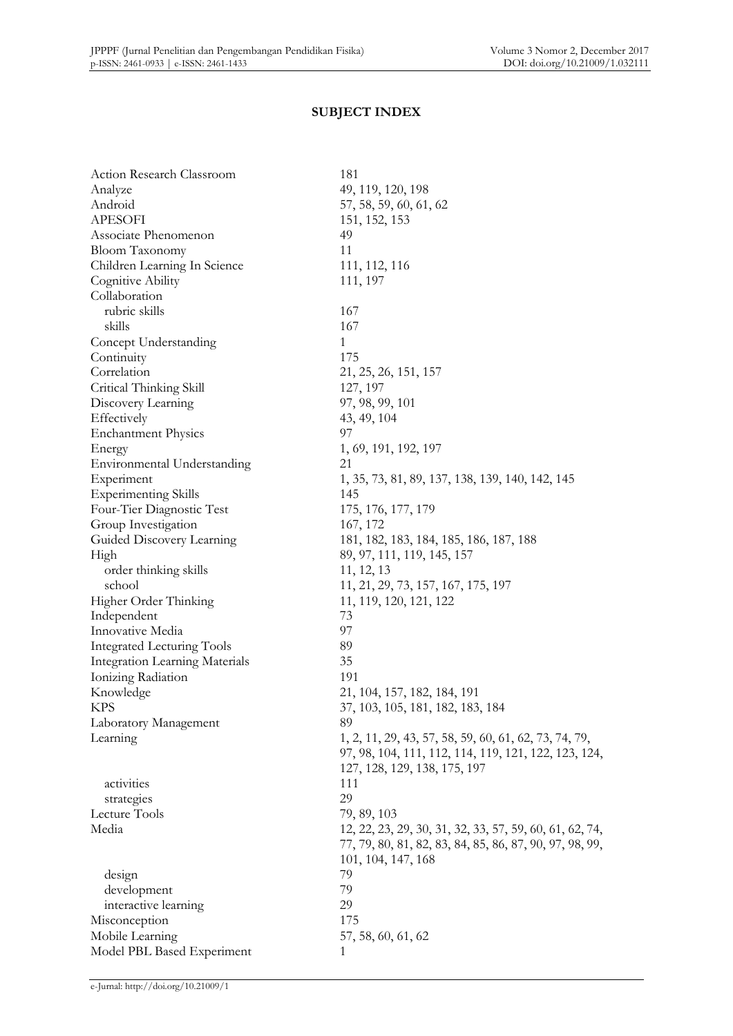## **SUBJECT INDEX**

| Action Research Classroom             | 181                                                     |
|---------------------------------------|---------------------------------------------------------|
| Analyze                               | 49, 119, 120, 198                                       |
| Android                               | 57, 58, 59, 60, 61, 62                                  |
| <b>APESOFI</b>                        | 151, 152, 153                                           |
| Associate Phenomenon                  | 49                                                      |
| <b>Bloom Taxonomy</b>                 | 11                                                      |
| Children Learning In Science          | 111, 112, 116                                           |
| Cognitive Ability                     | 111, 197                                                |
| Collaboration                         |                                                         |
| rubric skills                         | 167                                                     |
| skills                                | 167                                                     |
| Concept Understanding                 | $\mathbf{1}$                                            |
| Continuity                            | 175                                                     |
| Correlation                           | 21, 25, 26, 151, 157                                    |
| Critical Thinking Skill               | 127, 197                                                |
| Discovery Learning                    | 97, 98, 99, 101                                         |
| Effectively                           | 43, 49, 104                                             |
| <b>Enchantment Physics</b>            | 97                                                      |
| Energy                                | 1, 69, 191, 192, 197                                    |
| Environmental Understanding           | 21                                                      |
| Experiment                            | 1, 35, 73, 81, 89, 137, 138, 139, 140, 142, 145         |
| <b>Experimenting Skills</b>           | 145                                                     |
| Four-Tier Diagnostic Test             | 175, 176, 177, 179                                      |
| Group Investigation                   | 167, 172                                                |
| Guided Discovery Learning             | 181, 182, 183, 184, 185, 186, 187, 188                  |
| High                                  | 89, 97, 111, 119, 145, 157                              |
| order thinking skills                 | 11, 12, 13                                              |
| school                                | 11, 21, 29, 73, 157, 167, 175, 197                      |
| Higher Order Thinking                 | 11, 119, 120, 121, 122                                  |
| Independent                           | 73                                                      |
| Innovative Media                      | 97                                                      |
| Integrated Lecturing Tools            | 89                                                      |
| <b>Integration Learning Materials</b> | 35                                                      |
| Ionizing Radiation                    | 191                                                     |
| Knowledge                             | 21, 104, 157, 182, 184, 191                             |
| <b>KPS</b>                            | 37, 103, 105, 181, 182, 183, 184                        |
| Laboratory Management                 | 89                                                      |
| Learning                              | 1, 2, 11, 29, 43, 57, 58, 59, 60, 61, 62, 73, 74, 79,   |
|                                       | 97, 98, 104, 111, 112, 114, 119, 121, 122, 123, 124,    |
|                                       | 127, 128, 129, 138, 175, 197                            |
| activities                            | 111                                                     |
|                                       | 29                                                      |
| strategies<br>Lecture Tools           | 79, 89, 103                                             |
| Media                                 |                                                         |
|                                       | 12, 22, 23, 29, 30, 31, 32, 33, 57, 59, 60, 61, 62, 74, |
|                                       | 77, 79, 80, 81, 82, 83, 84, 85, 86, 87, 90, 97, 98, 99, |
|                                       | 101, 104, 147, 168                                      |
| design                                | 79                                                      |
| development                           | 79                                                      |
| interactive learning                  | 29                                                      |
| Misconception                         | 175                                                     |
| Mobile Learning                       | 57, 58, 60, 61, 62                                      |
| Model PBL Based Experiment            | 1                                                       |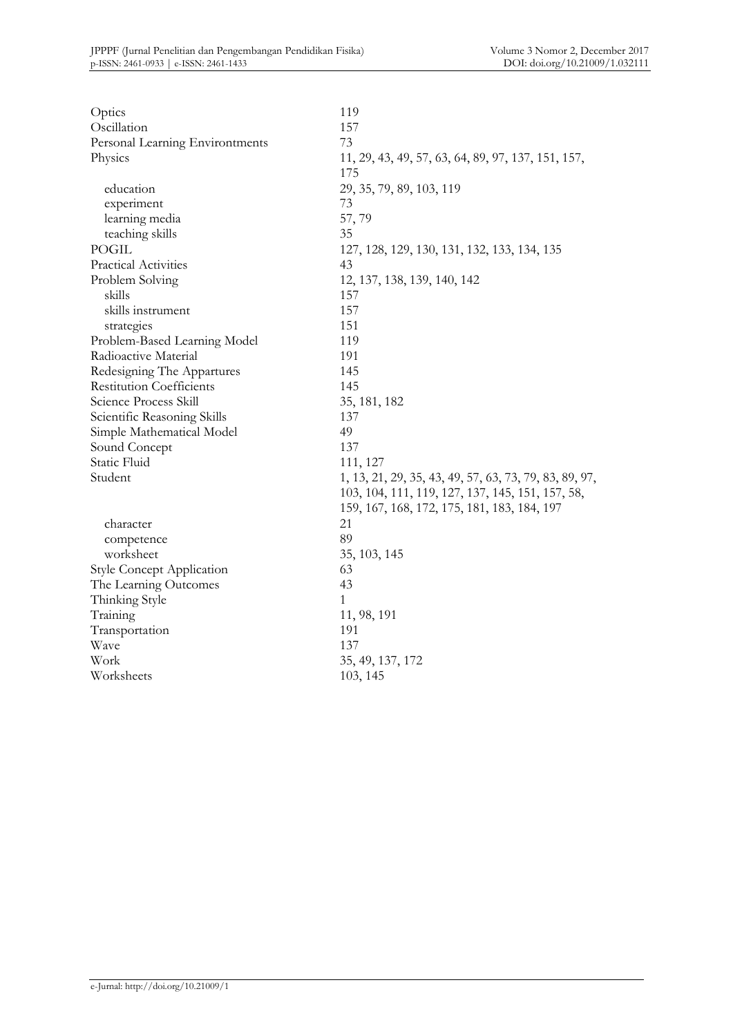| Optics                           | 119                                                    |
|----------------------------------|--------------------------------------------------------|
| Oscillation                      | 157                                                    |
| Personal Learning Environtments  | 73                                                     |
| Physics                          | 11, 29, 43, 49, 57, 63, 64, 89, 97, 137, 151, 157,     |
|                                  | 175                                                    |
| education                        | 29, 35, 79, 89, 103, 119                               |
| experiment                       | 73                                                     |
| learning media                   | 57,79                                                  |
| teaching skills                  | 35                                                     |
| POGIL                            | 127, 128, 129, 130, 131, 132, 133, 134, 135            |
| Practical Activities             | 43                                                     |
| Problem Solving                  | 12, 137, 138, 139, 140, 142                            |
| skills                           | 157                                                    |
| skills instrument                | 157                                                    |
| strategies                       | 151                                                    |
| Problem-Based Learning Model     | 119                                                    |
| Radioactive Material             | 191                                                    |
| Redesigning The Appartures       | 145                                                    |
| <b>Restitution Coefficients</b>  | 145                                                    |
| Science Process Skill            | 35, 181, 182                                           |
| Scientific Reasoning Skills      | 137                                                    |
| Simple Mathematical Model        | 49                                                     |
| Sound Concept                    | 137                                                    |
| Static Fluid                     | 111, 127                                               |
| Student                          | 1, 13, 21, 29, 35, 43, 49, 57, 63, 73, 79, 83, 89, 97, |
|                                  | 103, 104, 111, 119, 127, 137, 145, 151, 157, 58,       |
|                                  | 159, 167, 168, 172, 175, 181, 183, 184, 197            |
| character                        | 21                                                     |
| competence                       | 89                                                     |
| worksheet                        | 35, 103, 145                                           |
| <b>Style Concept Application</b> | 63                                                     |
| The Learning Outcomes            | 43                                                     |
| Thinking Style                   | 1                                                      |
| Training                         | 11, 98, 191                                            |
| Transportation                   | 191                                                    |
| Wave                             | 137                                                    |
| Work                             | 35, 49, 137, 172                                       |
| Worksheets                       | 103, 145                                               |
|                                  |                                                        |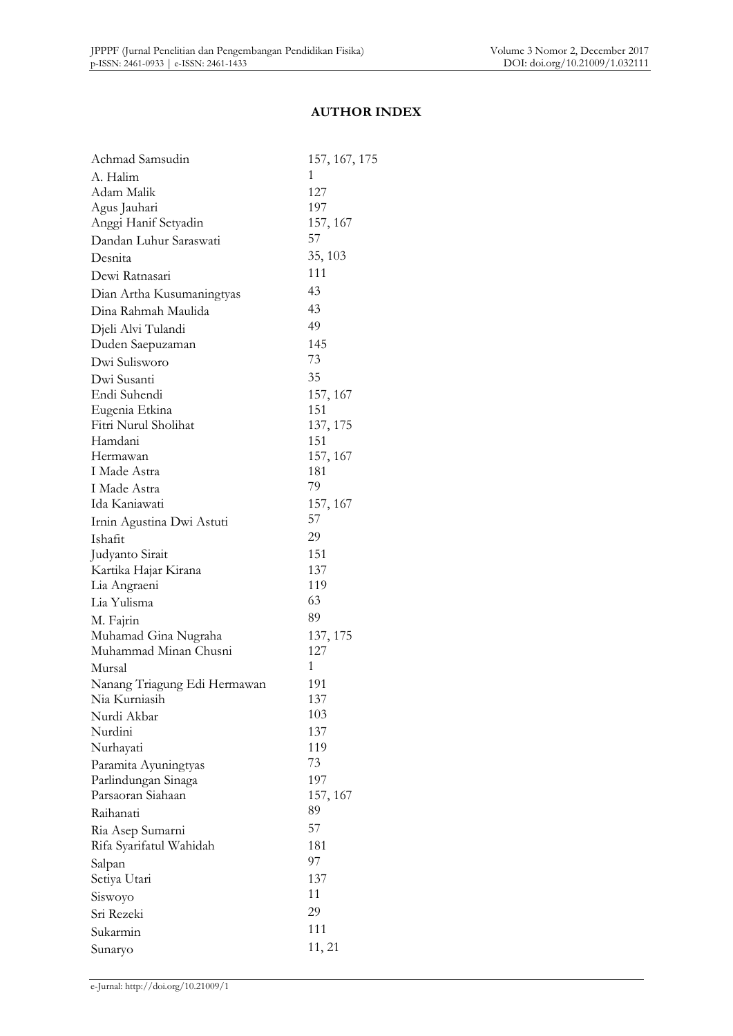#### **AUTHOR INDEX**

| Achmad Samsudin              | 157, 167, 175 |
|------------------------------|---------------|
| A. Halim                     | 1             |
| Adam Malik                   | 127           |
| Agus Jauhari                 | 197           |
| Anggi Hanif Setyadin         | 157, 167      |
| Dandan Luhur Saraswati       | 57            |
| Desnita                      | 35, 103       |
| Dewi Ratnasari               | 111           |
| Dian Artha Kusumaningtyas    | 43            |
| Dina Rahmah Maulida          | 43            |
| Djeli Alvi Tulandi           | 49            |
| Duden Saepuzaman             | 145           |
| Dwi Sulisworo                | 73            |
| Dwi Susanti                  | 35            |
| Endi Suhendi                 | 157, 167      |
| Eugenia Etkina               | 151           |
| Fitri Nurul Sholihat         | 137, 175      |
| Hamdani                      | 151           |
| Hermawan                     | 157, 167      |
| I Made Astra                 | 181           |
| I Made Astra                 | 79            |
| Ida Kaniawati                | 157, 167      |
| Irnin Agustina Dwi Astuti    | 57            |
| Ishafit                      | 29            |
| Judyanto Sirait              | 151           |
| Kartika Hajar Kirana         | 137           |
| Lia Angraeni                 | 119           |
| Lia Yulisma                  | 63            |
| M. Fajrin                    | 89            |
| Muhamad Gina Nugraha         | 137, 175      |
| Muhammad Minan Chusni        | 127           |
| Mursal                       | 1             |
| Nanang Triagung Edi Hermawan | 191           |
| Nia Kurniasih                | 137           |
| Nurdi Akbar                  | 103           |
| Nurdini                      | 137           |
| Nurhayati                    | 119           |
| Paramita Ayuningtyas         | 73            |
| Parlindungan Sinaga          | 197           |
| Parsaoran Siahaan            | 157, 167      |
| Raihanati                    | 89            |
| Ria Asep Sumarni             | 57            |
| Rifa Syarifatul Wahidah      | 181           |
| Salpan                       | 97            |
| Setiya Utari                 | 137           |
| Siswoyo                      | 11            |
| Sri Rezeki                   | 29            |
| Sukarmin                     | 111           |
| Sunaryo                      | 11, 21        |
|                              |               |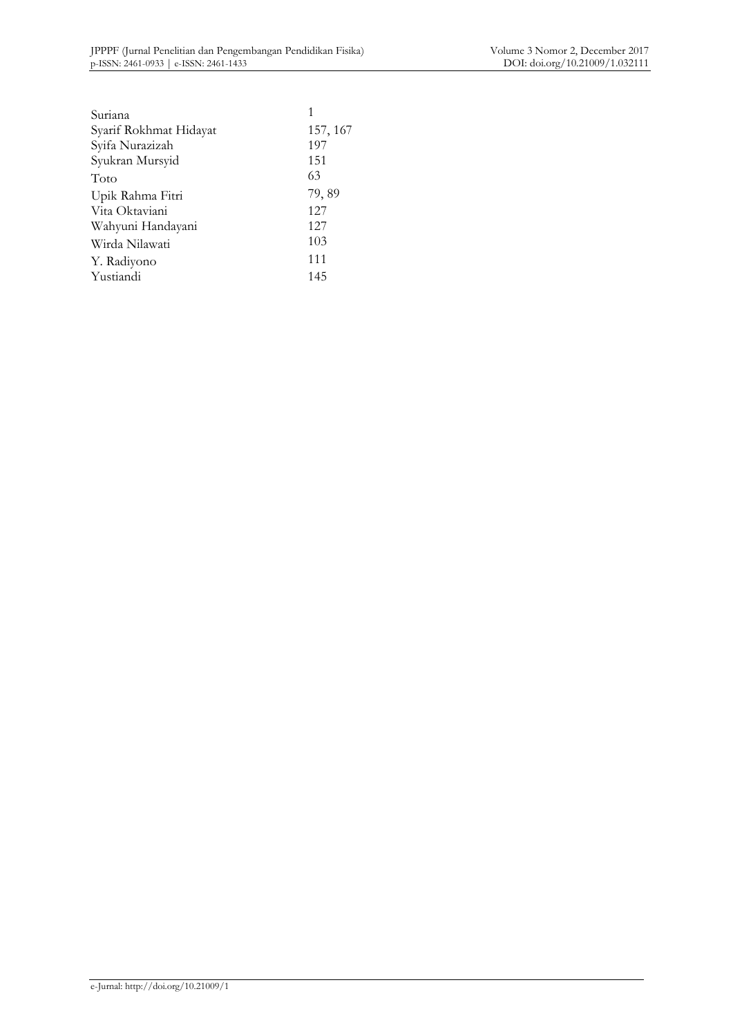| Suriana                |          |
|------------------------|----------|
| Syarif Rokhmat Hidayat | 157, 167 |
| Syifa Nurazizah        | 197      |
| Syukran Mursyid        | 151      |
| Toto                   | 63       |
| Upik Rahma Fitri       | 79,89    |
| Vita Oktaviani         | 127      |
| Wahyuni Handayani      | 127      |
| Wirda Nilawati         | 103      |
| Y. Radiyono            | 111      |
| Yustiandi              | 145      |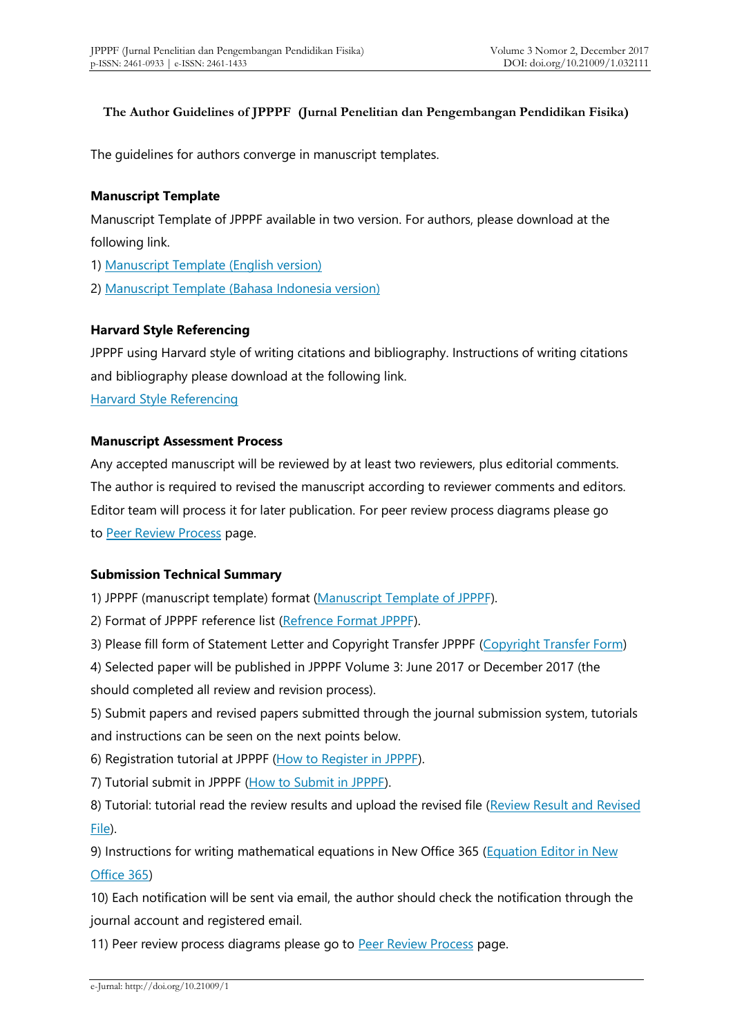#### **The Author Guidelines of JPPPF (Jurnal Penelitian dan Pengembangan Pendidikan Fisika)**

The guidelines for authors converge in manuscript templates.

#### **Manuscript Template**

Manuscript Template of JPPPF available in two version. For authors, please download at the following link.

1) [Manuscript Template \(English version\)](https://drive.google.com/open?id=0B4Xa5CiP3JF8c0ZzQjNmNXI1dHM)

2) [Manuscript Template \(Bahasa Indonesia version\)](https://drive.google.com/open?id=0B4Xa5CiP3JF8enJiTzlMSEI1LUU)

#### **Harvard Style Referencing**

JPPPF using Harvard style of writing citations and bibliography. Instructions of writing citations and bibliography please download at the following link.

[Harvard Style Referencing](https://drive.google.com/open?id=0B4Xa5CiP3JF8M0xVNk0zek0wV00)

#### **Manuscript Assessment Process**

Any accepted manuscript will be reviewed by at least two reviewers, plus editorial comments. The author is required to revised the manuscript according to reviewer comments and editors. Editor team will process it for later publication. For peer review process diagrams please go to [Peer Review Process](http://journal.unj.ac.id/unj/index.php/jpppf/reviewprocess) page.

### **Submission Technical Summary**

1) JPPPF (manuscript template) format [\(Manuscript Template of JPPPF\)](http://journal.unj.ac.id/unj/index.php/jpppf/manuscripttemplate).

2) Format of JPPPF reference list [\(Refrence Format JPPPF](http://tiny.cc/FormatRefJPPPF)).

3) Please fill form of Statement Letter and Copyright Transfer JPPPF [\(Copyright Transfer Form](https://form.jotform.me/72668472702462))

4) Selected paper will be published in JPPPF Volume 3: June 2017 or December 2017 (the should completed all review and revision process).

5) Submit papers and revised papers submitted through the journal submission system, tutorials and instructions can be seen on the next points below.

6) Registration tutorial at JPPPF [\(How to Register in JPPPF\)](https://youtu.be/VsVdfjGES2s).

7) Tutorial submit in JPPPF [\(How to Submit in JPPPF\)](https://youtu.be/AwNlxiaeVys).

8) Tutorial: tutorial read the review results and upload the revised file [\(Review Result and Revised](https://www.youtube.com/watch?v=WlCydgQdrMY) [File\)](https://www.youtube.com/watch?v=WlCydgQdrMY).

9) Instructions for writing mathematical equations in New Office 365 [\(Equation Editor in New](http://journal.unj.ac.id/unj/index.php/jpppf/equation) [Office 365\)](http://journal.unj.ac.id/unj/index.php/jpppf/equation)

10) Each notification will be sent via email, the author should check the notification through the journal account and registered email.

11) Peer review process diagrams please go to [Peer Review Process](http://journal.unj.ac.id/unj/index.php/jpppf/reviewprocess) page.